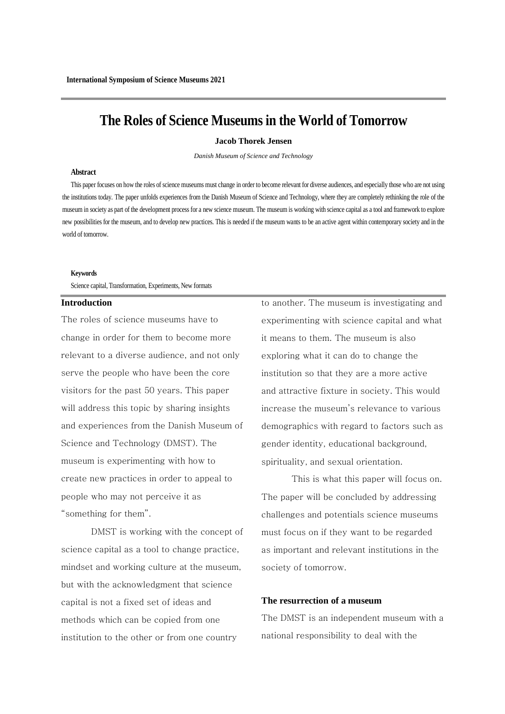# **The Roles of Science Museums in the World of Tomorrow**

#### **Jacob Thorek Jensen**

*Danish Museum of Science and Technology*

### **Abstract**

This paper focuses on how the roles of science museums must change in order to become relevant for diverse audiences, and especially those who are not using the institutions today. The paper unfolds experiences from the Danish Museum of Science and Technology, where they are completely rethinking the role of the museum in society as part of the development process for a new science museum. The museum is working with science capital as a tool and framework to explore new possibilities for the museum, and to develop new practices. This is needed if the museum wants to be an active agent within contemporary society and in the world of tomorrow.

#### **Keywords**

Science capital, Transformation, Experiments, New formats

# **Introduction**

The roles of science museums have to change in order for them to become more relevant to a diverse audience, and not only serve the people who have been the core visitors for the past 50 years. This paper will address this topic by sharing insights and experiences from the Danish Museum of Science and Technology (DMST). The museum is experimenting with how to create new practices in order to appeal to people who may not perceive it as "something for them".

DMST is working with the concept of science capital as a tool to change practice, mindset and working culture at the museum, but with the acknowledgment that science capital is not a fixed set of ideas and methods which can be copied from one institution to the other or from one country

to another. The museum is investigating and experimenting with science capital and what it means to them. The museum is also exploring what it can do to change the institution so that they are a more active and attractive fixture in society. This would increase the museum's relevance to various demographics with regard to factors such as gender identity, educational background, spirituality, and sexual orientation.

This is what this paper will focus on. The paper will be concluded by addressing challenges and potentials science museums must focus on if they want to be regarded as important and relevant institutions in the society of tomorrow.

# **The resurrection of a museum**

The DMST is an independent museum with a national responsibility to deal with the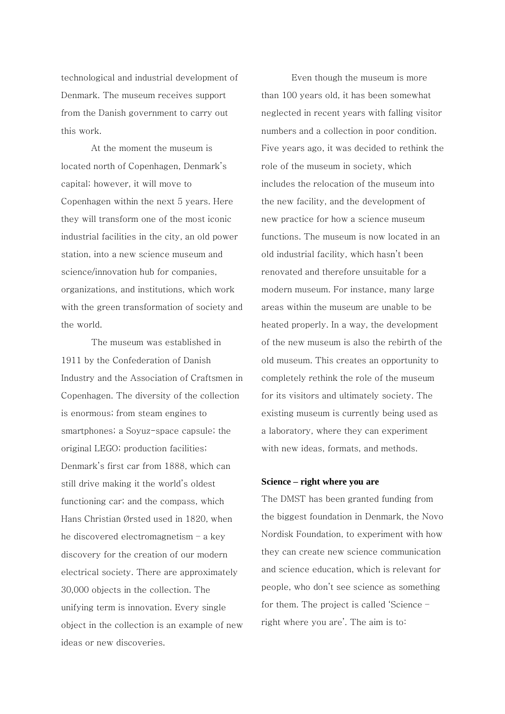technological and industrial development of Denmark. The museum receives support from the Danish government to carry out this work.

At the moment the museum is located north of Copenhagen, Denmark's capital; however, it will move to Copenhagen within the next 5 years. Here they will transform one of the most iconic industrial facilities in the city, an old power station, into a new science museum and science/innovation hub for companies, organizations, and institutions, which work with the green transformation of society and the world.

The museum was established in 1911 by the Confederation of Danish Industry and the Association of Craftsmen in Copenhagen. The diversity of the collection is enormous; from steam engines to smartphones; a Soyuz-space capsule; the original LEGO; production facilities; Denmark's first car from 1888, which can still drive making it the world's oldest functioning car; and the compass, which Hans Christian Ørsted used in 1820, when he discovered electromagnetism – a key discovery for the creation of our modern electrical society. There are approximately 30,000 objects in the collection. The unifying term is innovation. Every single object in the collection is an example of new ideas or new discoveries.

Even though the museum is more than 100 years old, it has been somewhat neglected in recent years with falling visitor numbers and a collection in poor condition. Five years ago, it was decided to rethink the role of the museum in society, which includes the relocation of the museum into the new facility, and the development of new practice for how a science museum functions. The museum is now located in an old industrial facility, which hasn't been renovated and therefore unsuitable for a modern museum. For instance, many large areas within the museum are unable to be heated properly. In a way, the development of the new museum is also the rebirth of the old museum. This creates an opportunity to completely rethink the role of the museum for its visitors and ultimately society. The existing museum is currently being used as a laboratory, where they can experiment with new ideas, formats, and methods.

#### **Science – right where you are**

The DMST has been granted funding from the biggest foundation in Denmark, the Novo Nordisk Foundation, to experiment with how they can create new science communication and science education, which is relevant for people, who don't see science as something for them. The project is called 'Science – right where you are'. The aim is to: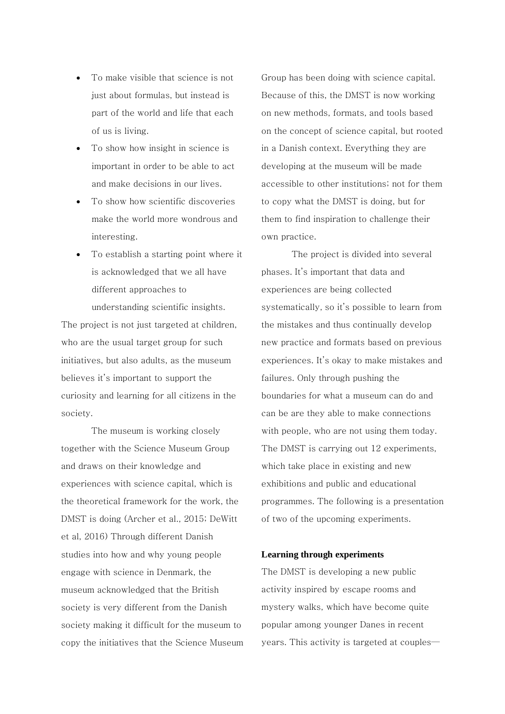- To make visible that science is not just about formulas, but instead is part of the world and life that each of us is living.
- To show how insight in science is important in order to be able to act and make decisions in our lives.
- To show how scientific discoveries make the world more wondrous and interesting.
- To establish a starting point where it is acknowledged that we all have different approaches to

understanding scientific insights.

The project is not just targeted at children, who are the usual target group for such initiatives, but also adults, as the museum believes it's important to support the curiosity and learning for all citizens in the society.

The museum is working closely together with the Science Museum Group and draws on their knowledge and experiences with science capital, which is the theoretical framework for the work, the DMST is doing (Archer et al., 2015; DeWitt et al, 2016) Through different Danish studies into how and why young people engage with science in Denmark, the museum acknowledged that the British society is very different from the Danish society making it difficult for the museum to copy the initiatives that the Science Museum Group has been doing with science capital. Because of this, the DMST is now working on new methods, formats, and tools based on the concept of science capital, but rooted in a Danish context. Everything they are developing at the museum will be made accessible to other institutions; not for them to copy what the DMST is doing, but for them to find inspiration to challenge their own practice.

The project is divided into several phases. It's important that data and experiences are being collected systematically, so it's possible to learn from the mistakes and thus continually develop new practice and formats based on previous experiences. It's okay to make mistakes and failures. Only through pushing the boundaries for what a museum can do and can be are they able to make connections with people, who are not using them today. The DMST is carrying out 12 experiments, which take place in existing and new exhibitions and public and educational programmes. The following is a presentation of two of the upcoming experiments.

# **Learning through experiments**

The DMST is developing a new public activity inspired by escape rooms and mystery walks, which have become quite popular among younger Danes in recent years. This activity is targeted at couples—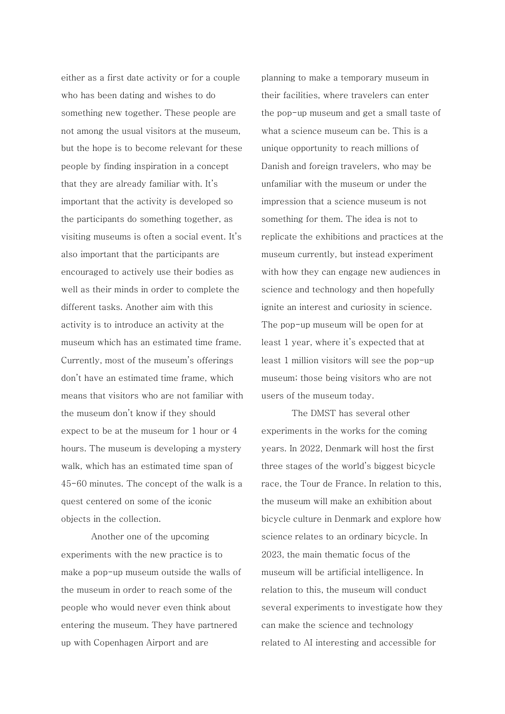either as a first date activity or for a couple who has been dating and wishes to do something new together. These people are not among the usual visitors at the museum, but the hope is to become relevant for these people by finding inspiration in a concept that they are already familiar with. It's important that the activity is developed so the participants do something together, as visiting museums is often a social event. It's also important that the participants are encouraged to actively use their bodies as well as their minds in order to complete the different tasks. Another aim with this activity is to introduce an activity at the museum which has an estimated time frame. Currently, most of the museum's offerings don't have an estimated time frame, which means that visitors who are not familiar with the museum don't know if they should expect to be at the museum for 1 hour or 4 hours. The museum is developing a mystery walk, which has an estimated time span of 45-60 minutes. The concept of the walk is a quest centered on some of the iconic objects in the collection.

Another one of the upcoming experiments with the new practice is to make a pop-up museum outside the walls of the museum in order to reach some of the people who would never even think about entering the museum. They have partnered up with Copenhagen Airport and are

planning to make a temporary museum in their facilities, where travelers can enter the pop-up museum and get a small taste of what a science museum can be. This is a unique opportunity to reach millions of Danish and foreign travelers, who may be unfamiliar with the museum or under the impression that a science museum is not something for them. The idea is not to replicate the exhibitions and practices at the museum currently, but instead experiment with how they can engage new audiences in science and technology and then hopefully ignite an interest and curiosity in science. The pop-up museum will be open for at least 1 year, where it's expected that at least 1 million visitors will see the pop-up museum; those being visitors who are not users of the museum today.

The DMST has several other experiments in the works for the coming years. In 2022, Denmark will host the first three stages of the world's biggest bicycle race, the Tour de France. In relation to this, the museum will make an exhibition about bicycle culture in Denmark and explore how science relates to an ordinary bicycle. In 2023, the main thematic focus of the museum will be artificial intelligence. In relation to this, the museum will conduct several experiments to investigate how they can make the science and technology related to AI interesting and accessible for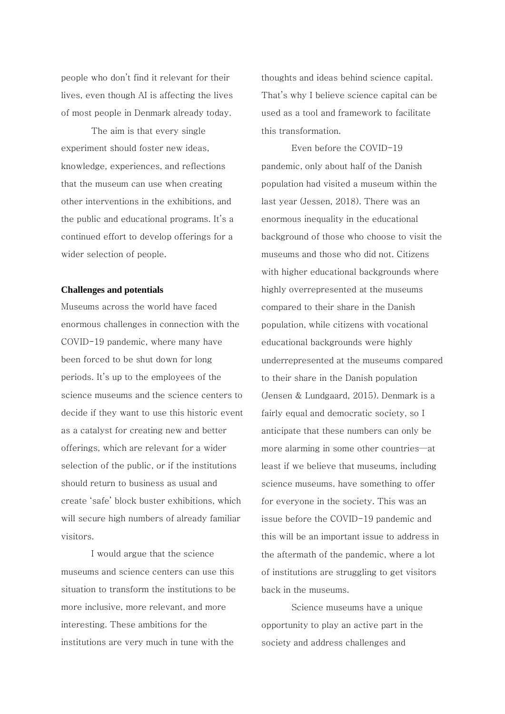people who don't find it relevant for their lives, even though AI is affecting the lives of most people in Denmark already today.

The aim is that every single experiment should foster new ideas, knowledge, experiences, and reflections that the museum can use when creating other interventions in the exhibitions, and the public and educational programs. It's a continued effort to develop offerings for a wider selection of people.

#### **Challenges and potentials**

Museums across the world have faced enormous challenges in connection with the COVID-19 pandemic, where many have been forced to be shut down for long periods. It's up to the employees of the science museums and the science centers to decide if they want to use this historic event as a catalyst for creating new and better offerings, which are relevant for a wider selection of the public, or if the institutions should return to business as usual and create 'safe' block buster exhibitions, which will secure high numbers of already familiar visitors.

I would argue that the science museums and science centers can use this situation to transform the institutions to be more inclusive, more relevant, and more interesting. These ambitions for the institutions are very much in tune with the

thoughts and ideas behind science capital. That's why I believe science capital can be used as a tool and framework to facilitate this transformation.

Even before the COVID-19 pandemic, only about half of the Danish population had visited a museum within the last year (Jessen, 2018). There was an enormous inequality in the educational background of those who choose to visit the museums and those who did not. Citizens with higher educational backgrounds where highly overrepresented at the museums compared to their share in the Danish population, while citizens with vocational educational backgrounds were highly underrepresented at the museums compared to their share in the Danish population (Jensen & Lundgaard, 2015). Denmark is a fairly equal and democratic society, so I anticipate that these numbers can only be more alarming in some other countries—at least if we believe that museums, including science museums, have something to offer for everyone in the society. This was an issue before the COVID-19 pandemic and this will be an important issue to address in the aftermath of the pandemic, where a lot of institutions are struggling to get visitors back in the museums.

Science museums have a unique opportunity to play an active part in the society and address challenges and